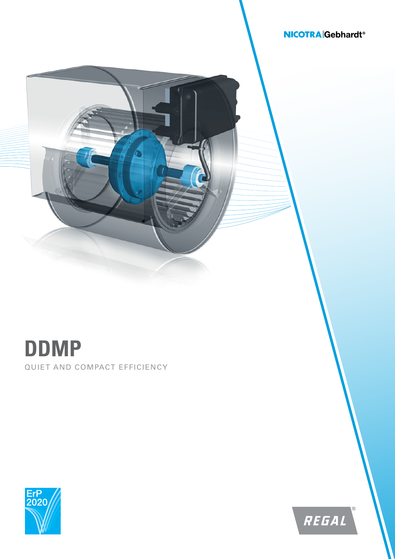## **NICOTRA** Gebhardt<sup>®</sup>



## QUIET AND COMPACT EFFICIENCY **DDMP**



REGAL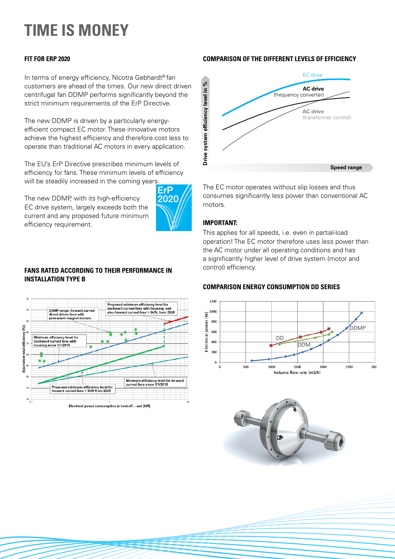# **TIME IS MONEY**

## **FIT FOR ERP 2020**

In terms of energy efficiency, Nicotra Gebhardt® fan customers are ahead of the times. Our new direct driven centrifugal fan DDMP performs significantly beyond the strict minimum requirements of the ErP Directive.

The new DDMP is driven by a particularly energyefficient compact EC motor. These innovative motors achieve the highest efficiency and therefore cost less to operate than traditional AC motors in every application.

The EU's ErP Directive prescribes minimum levels of efficiency for fans. These minimum levels of efficiency will be steadily increased in the coming years.

The new DDMP, with its high-efficiency EC drive system, largely exceeds both the current and any proposed future minimum efficiency requirement.



## **FANS RATED ACCORDING TO THEIR PERFORMANCE IN INSTALLATION TYPE B**



## **COMPARISON OF THE DIFFERENT LEVELS OF EFFICIENCY**



The EC motor operates without slip losses and thus consumes significantly less power than conventional AC motors.

## **IMPORTANT:**

This applies for all speeds, i.e. even in partial-load operation! The EC motor therefore uses less power than the AC motor under all operating conditions and has a significantly higher level of drive system (motor and control) efficiency.

## **COMPARISON ENERGY CONSUMPTION DD SERIES**



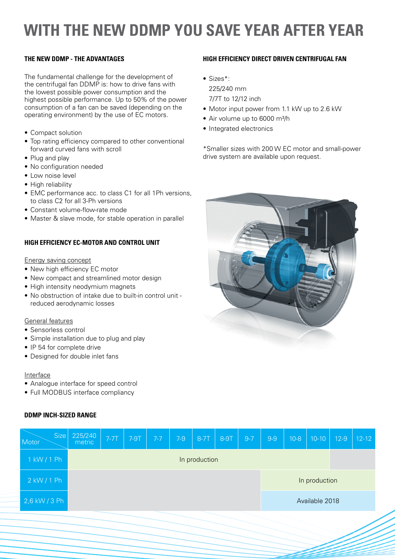## **WITH THE NEW DDMP YOU SAVE YEAR AFTER YEAR**

## **THE NEW DDMP - THE ADVANTAGES**

The fundamental challenge for the development of the centrifugal fan DDMP is: how to drive fans with the lowest possible power consumption and the highest possible performance. Up to 50% of the power consumption of a fan can be saved (depending on the operating environment) by the use of EC motors.

- Compact solution
- Top rating efficiency compared to other conventional forward curved fans with scroll
- Plug and play
- No configuration needed
- Low noise level
- High reliability
- EMC performance acc. to class C1 for all 1Ph versions, to class C2 for all 3-Ph versions
- Constant volume-flow-rate mode
- Master & slave mode, for stable operation in parallel

## **HIGH EFFICIENCY EC-MOTOR AND CONTROL UNIT**

## Energy saving concept

- New high efficiency EC motor
- New compact and streamlined motor design
- High intensity neodymium magnets
- No obstruction of intake due to built-in control unit reduced aerodynamic losses

## General features

- Sensorless control
- Simple installation due to plug and play
- IP 54 for complete drive
- Designed for double inlet fans

## Interface

- Analogue interface for speed control
- Full MODBUS interface compliancy

## **DDMP INCH-SIZED RANGE**



## **HIGH EFFICIENCY DIRECT DRIVEN CENTRIFUGAL FAN**

• Sizes\*:

225/240 mm

7/7T to 12/12 inch

- Motor input power from 1.1 kW up to 2.6 kW
- Air volume up to 6000 m<sup>3</sup>/h
- Integrated electronics

\*Smaller sizes with 200 W EC motor and small-power drive system are available upon request.